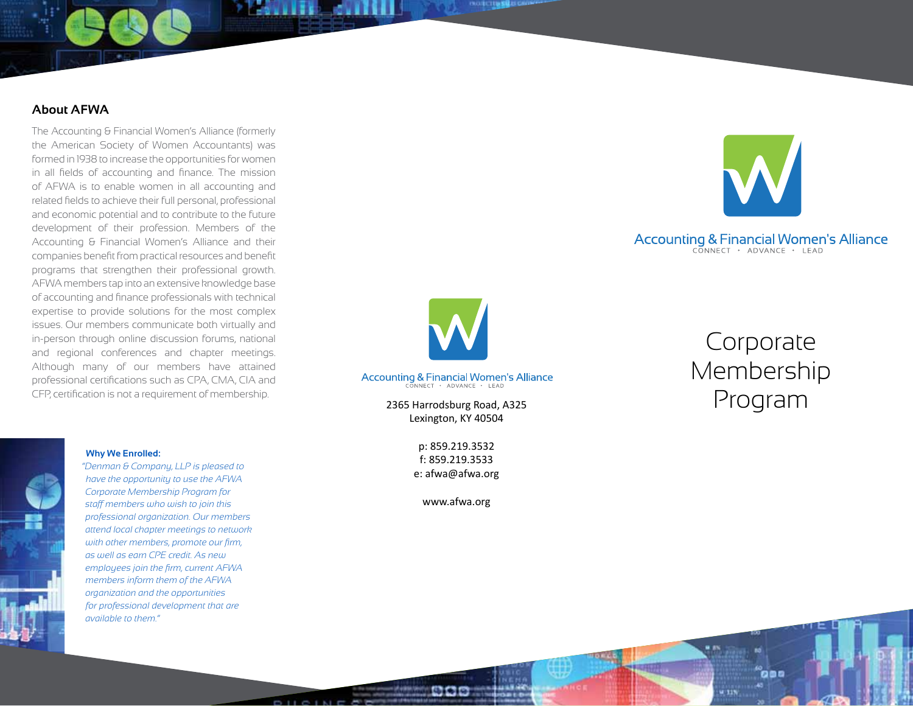# **About AFWA**

The Accounting & Financial Women's Alliance (formerly the American Society of Women Accountants) was formed in 1938 to increase the opportunities for women in all fields of accounting and finance. The mission of AFWA is to enable women in all accounting and related fields to achieve their full personal, professional and economic potential and to contribute to the future development of their profession. Members of the Accounting & Financial Women's Alliance and their companies benefit from practical resources and benefit programs that strengthen their professional growth. AFWA members tap into an extensive knowledge base of accounting and finance professionals with technical expertise to provide solutions for the most complex issues. Our members communicate both virtually and in-person through online discussion forums, national and regional conferences and chapter meetings. Although many of our members have attained professional certifications such as CPA, CMA, CIA and CFP, certification is not a requirement of membership.



# Accounting & Financial Women's Alliance



**EXAMPLE ANTIQUE** 

2365 Harrodsburg Road, A325 Lexington, KY 40504

> p: 859.219.3532 f: 859.219.3533 e: afwa@afwa.org

> > www. afwa.org www.afwa.org

# Corporate Membership Accounting & Financial Women's Alliance<br>
CONNECT + ADVANCE + LEAD<br>
2365 Harrodsburg Road, A325<br>
2365 Harrodsburg Road, A325

#### **Why We Enrolled:**



*have the opportunity to use the AFWA Corporate Membership Program for staff members who wish to join this professional organization. Our members attend local chapter meetings to network with other members, promote our firm, as well as earn CPE credit. As new employees join the firm, current AFWA members inform them of the AFWA organization and the opportunities for professional development that are available to them."* 

*"Denman & Company, LLP is pleased to* 

000

**WITTE**